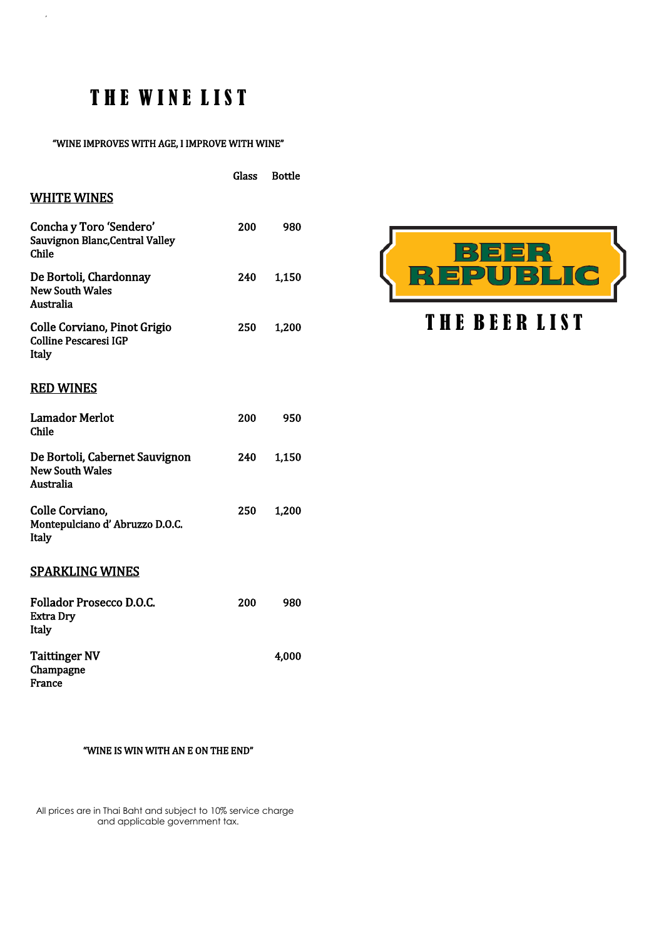# THE WINE LIST

 $\overline{\phantom{a}}$ 

#### "WINE IMPROVES WITH AGE, I IMPROVE WITH WINE"

|                                                                       | Glass | Bottle |
|-----------------------------------------------------------------------|-------|--------|
| <b>WHITE WINES</b>                                                    |       |        |
| Concha y Toro 'Sendero'<br>Sauvignon Blanc, Central Valley<br>Chile   | 200   | 980    |
| De Bortoli, Chardonnay<br><b>New South Wales</b><br>Australia         | 240   | 1,150  |
| Colle Corviano, Pinot Grigio<br><b>Colline Pescaresi IGP</b><br>Italy | 250   | 1,200  |
| <b>RED WINES</b>                                                      |       |        |
| <b>Lamador Merlot</b><br>Chile                                        | 200   | 950    |
| De Bortoli, Cabernet Sauvignon<br><b>New South Wales</b><br>Australia | 240   | 1,150  |
| Colle Corviano,<br>Montepulciano d'Abruzzo D.O.C.<br>Italy            | 250   | 1,200  |
| <b>SPARKLING WINES</b>                                                |       |        |
| Follador Prosecco D.O.C.<br><b>Extra Dry</b><br>Italy                 | 200   | 980    |
| <b>Taittinger NV</b><br>Champagne<br>France                           |       | 4,000  |

# ER<br>IBLIC  $\mathbf{E}$ 儿

## THE BEER LIST

### "WINE IS WIN WITH AN E ON THE END"

 All prices are in Thai Baht and subject to 10% service charge and applicable government tax.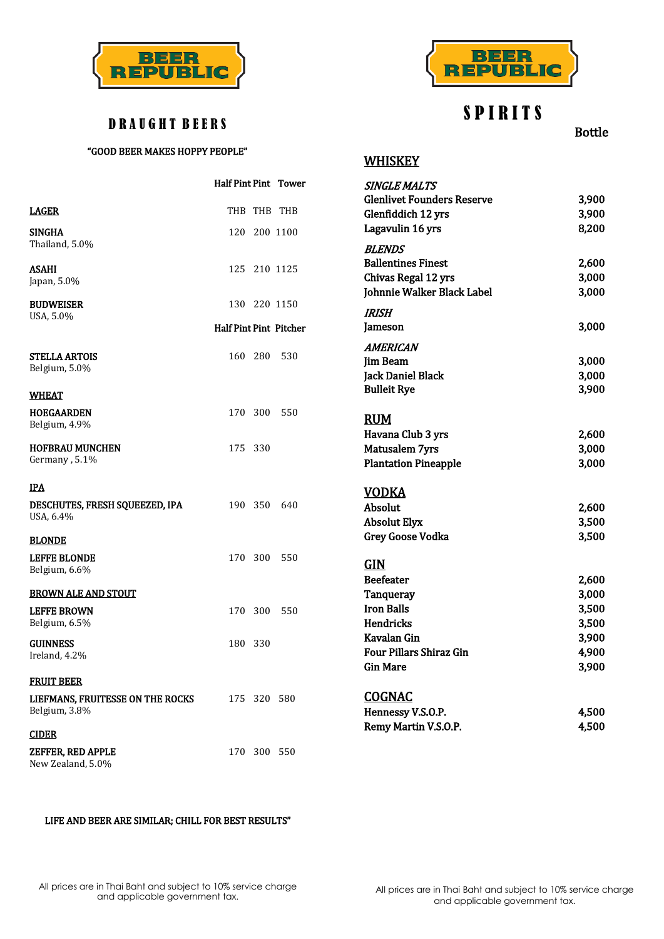



## S P I R I T S

**WHISKEY** 

Bottle

### D R A U G H T B E E R S

### "GOOD BEER MAKES HOPPY PEOPLE"

|                                  | <b>Half Pint Pint Tower</b>   |             |              | <b>SINGLE MALTS</b><br><b>Glenlivet Founders Reserve</b> | 3,900 |
|----------------------------------|-------------------------------|-------------|--------------|----------------------------------------------------------|-------|
| <b>LAGER</b>                     |                               |             | THB THB THB  | Glenfiddich 12 yrs                                       | 3,900 |
|                                  |                               |             |              | Lagavulin 16 yrs                                         | 8,200 |
| <b>SINGHA</b><br>Thailand, 5.0%  | 120                           |             | 200 1100     | <b>BLENDS</b>                                            |       |
| ASAHI                            |                               |             | 125 210 1125 | <b>Ballentines Finest</b>                                | 2,600 |
| Japan, 5.0%                      |                               |             |              | Chivas Regal 12 yrs                                      | 3,000 |
|                                  |                               |             |              | Johnnie Walker Black Label                               | 3,000 |
| <b>BUDWEISER</b>                 |                               |             | 130 220 1150 | <b>IRISH</b>                                             |       |
| USA, 5.0%                        | <b>Half Pint Pint Pitcher</b> |             |              | Jameson                                                  | 3,000 |
|                                  |                               |             |              |                                                          |       |
| <b>STELLA ARTOIS</b>             | 160 280                       |             | 530          | <b>AMERICAN</b>                                          |       |
| Belgium, 5.0%                    |                               |             |              | <b>Jim Beam</b>                                          | 3,000 |
|                                  |                               |             |              | Jack Daniel Black                                        | 3,000 |
| <b>WHEAT</b>                     |                               |             |              | <b>Bulleit Rye</b>                                       | 3,900 |
| <b>HOEGAARDEN</b>                | 170 300                       |             | 550          |                                                          |       |
| Belgium, 4.9%                    |                               |             |              | <b>RUM</b>                                               |       |
| <b>HOFBRAU MUNCHEN</b>           | 175 330                       |             |              | Havana Club 3 yrs                                        | 2,600 |
| Germany, 5.1%                    |                               |             |              | Matusalem 7yrs                                           | 3,000 |
|                                  |                               |             |              | <b>Plantation Pineapple</b>                              | 3,000 |
| <u>IPA</u>                       |                               |             |              | <b>VODKA</b>                                             |       |
| DESCHUTES, FRESH SQUEEZED, IPA   |                               | 190 350     | 640          | Absolut                                                  | 2,600 |
| USA, 6.4%                        |                               |             |              | <b>Absolut Elyx</b>                                      | 3,500 |
| <b>BLONDE</b>                    |                               |             |              | <b>Grey Goose Vodka</b>                                  | 3,500 |
| <b>LEFFE BLONDE</b>              | 170 300                       |             | 550          |                                                          |       |
| Belgium, 6.6%                    |                               |             |              | <b>GIN</b>                                               |       |
|                                  |                               |             |              | <b>Beefeater</b>                                         | 2,600 |
| <b>BROWN ALE AND STOUT</b>       |                               |             |              | <b>Tanqueray</b>                                         | 3,000 |
| <b>LEFFE BROWN</b>               | 170 300                       |             | 550          | <b>Iron Balls</b>                                        | 3,500 |
| Belgium, 6.5%                    |                               |             |              | Hendricks                                                | 3,500 |
| <b>GUINNESS</b>                  | 180 330                       |             |              | Kavalan Gin                                              | 3,900 |
| Ireland, 4.2%                    |                               |             |              | <b>Four Pillars Shiraz Gin</b>                           | 4,900 |
|                                  |                               |             |              | <b>Gin Mare</b>                                          | 3,900 |
| <u>FRUIT BEER</u>                |                               |             |              |                                                          |       |
| LIEFMANS, FRUITESSE ON THE ROCKS |                               | 175 320 580 |              | <b>COGNAC</b>                                            |       |
| Belgium, 3.8%                    |                               |             |              | Hennessy V.S.O.P.                                        | 4,500 |
| <b>CIDER</b>                     |                               |             |              | Remy Martin V.S.O.P.                                     | 4,500 |
| ZEFFER, RED APPLE                |                               |             | 170 300 550  |                                                          |       |
| New Zealand, 5.0%                |                               |             |              |                                                          |       |

#### LIFE AND BEER ARE SIMILAR; CHILL FOR BEST RESULTS"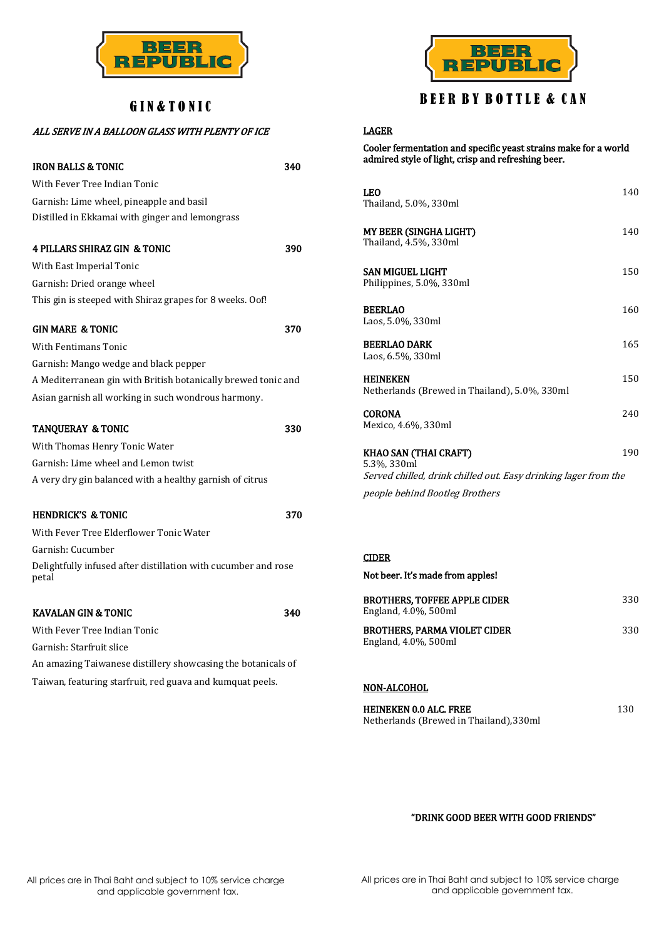

### GIN&TONIC

### ALL SERVE IN A BALLOON GLASS WITH PLENTY OF ICE

| <b>IRON BALLS &amp; TONIC</b><br>340                                    |     |  |
|-------------------------------------------------------------------------|-----|--|
| With Fever Tree Indian Tonic                                            |     |  |
| Garnish: Lime wheel, pineapple and basil                                |     |  |
| Distilled in Ekkamai with ginger and lemongrass                         |     |  |
| <b>4 PILLARS SHIRAZ GIN &amp; TONIC</b><br>390                          |     |  |
| With East Imperial Tonic                                                |     |  |
| Garnish: Dried orange wheel                                             |     |  |
| This gin is steeped with Shiraz grapes for 8 weeks. Oof!                |     |  |
| <b>GIN MARE &amp; TONIC</b><br>370                                      |     |  |
| <b>With Fentimans Tonic</b>                                             |     |  |
| Garnish: Mango wedge and black pepper                                   |     |  |
| A Mediterranean gin with British botanically brewed tonic and           |     |  |
| Asian garnish all working in such wondrous harmony.                     |     |  |
| 330<br><b>TANQUERAY &amp; TONIC</b>                                     |     |  |
| With Thomas Henry Tonic Water                                           |     |  |
| Garnish: Lime wheel and Lemon twist                                     |     |  |
| A very dry gin balanced with a healthy garnish of citrus                |     |  |
| <b>HENDRICK'S &amp; TONIC</b>                                           | 370 |  |
| With Fever Tree Elderflower Tonic Water                                 |     |  |
| Garnish: Cucumber                                                       |     |  |
| Delightfully infused after distillation with cucumber and rose<br>petal |     |  |
| <b>KAVALAN GIN &amp; TONIC</b><br>340                                   |     |  |
| With Fever Tree Indian Tonic                                            |     |  |
| Garnish: Starfruit slice                                                |     |  |
| An amazing Taiwanese distillery showcasing the botanicals of            |     |  |
| Taiwan, featuring starfruit, red guava and kumquat peels.               |     |  |



### BEER BY BOTTLE & CAN

### LAGER

Cooler fermentation and specific yeast strains make for a world admired style of light, crisp and refreshing beer.

| LEO<br>Thailand, 5.0%, 330ml                                                                                   | 140 |  |
|----------------------------------------------------------------------------------------------------------------|-----|--|
| MY BEER (SINGHA LIGHT)<br>Thailand, 4.5%, 330ml                                                                | 140 |  |
| SAN MIGUEL LIGHT<br>Philippines, 5.0%, 330ml                                                                   | 150 |  |
| <b>BEERLAO</b><br>Laos, 5.0%, 330ml                                                                            | 160 |  |
| <b>BEERLAO DARK</b><br>Laos, 6.5%, 330ml                                                                       | 165 |  |
| <b>HEINEKEN</b><br>Netherlands (Brewed in Thailand), 5.0%, 330ml                                               | 150 |  |
| <b>CORONA</b><br>Mexico, 4.6%, 330ml                                                                           | 240 |  |
| KHAO SAN (THAI CRAFT)<br>190<br>5.3%, 330ml<br>Served chilled, drink chilled out. Easy drinking lager from the |     |  |
| people behind Bootleg Brothers                                                                                 |     |  |

### CIDER

Not beer. It's made from apples!

| <b>BROTHERS. TOFFEE APPLE CIDER</b><br>England, 4.0%, 500ml | 330 |
|-------------------------------------------------------------|-----|
| <b>BROTHERS. PARMA VIOLET CIDER</b><br>England, 4.0%, 500ml | 330 |

#### NON-ALCOHOL

| HEINEKEN 0.0 ALC. FREE                 | 130 |
|----------------------------------------|-----|
| Netherlands (Brewed in Thailand),330ml |     |

### "DRINK GOOD BEER WITH GOOD FRIENDS"